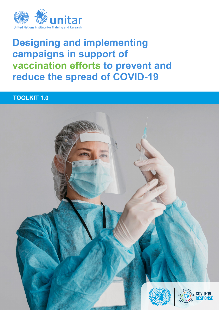

# **Designing and implementing campaigns in support of vaccination efforts to prevent and reduce the spread of COVID-19**

# **TOOLKIT 1.0**

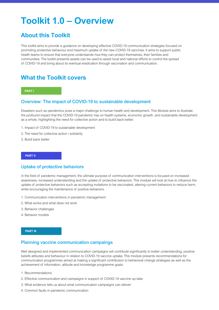# **Toolkit 1.0 – Overview**

# **About this Toolkit**

This toolkit aims to provide a guidance on developing effective COVID-19 communication strategies focused on promoting protective behaviour and maximum uptake of the new COVID-19 vaccines. It aims to support public health teams to ensure that everyone understands how they can protect themselves, their families and communities. The toolkit presents assets can be used to assist local and national efforts to control the spread of COVID-19 and bring about its eventual eradication through vaccination and communication.

## **What the Toolkit covers**

#### **PART I**

## Overview: The impact of COVID-19 to sustainable development

Disasters such as pandemics pose a major challenge to human health and development. This Module aims to illustrate the profound impact that the COVID-19 pandemic has on health systems, economic growth, and sustainable development as a whole, highlighting the need for collective action and to build back better.

- 1. Impact of COVID-19 to sustainable development
- 2. The need for collective action / solidarity
- 3. Build back better

#### **PART II**

#### Uptake of protective behaviors

In the field of pandemic management, the ultimate purpose of communication interventions is focused on increased awareness, increased understanding and the uptake of protective behaviors. This module will look at how to influence the uptake of protective behaviors such as accepting invitations to be vaccinated, altering current behaviors to reduce harm, while encouraging the maintenance of positive behaviors.

- 1. Communication interventions in pandemic management
- 2. What works and what does not work
- 3. Behavior challenges
- 4. Behavior models

#### **PART III**

## Planning vaccine communication campaings

Well designed and implemented communication campaigns will contribute significantly to better understanding, positive beliefs attitudes and behaviour in relation to COVID-19 vaccine uptake. This module presents recommendations for communication programmes aimed at making a significant contribution to behavioral change strategies as well as the achievement of information, attitude and knowledge programme goals.

- 1. Recommendations
- 2. Effective communication and campaigns in support of COVID-19 vaccine up-take
- 3. What evidence tells us about what communication campaigns can deliver
- 4. Common faults in pandemic communication